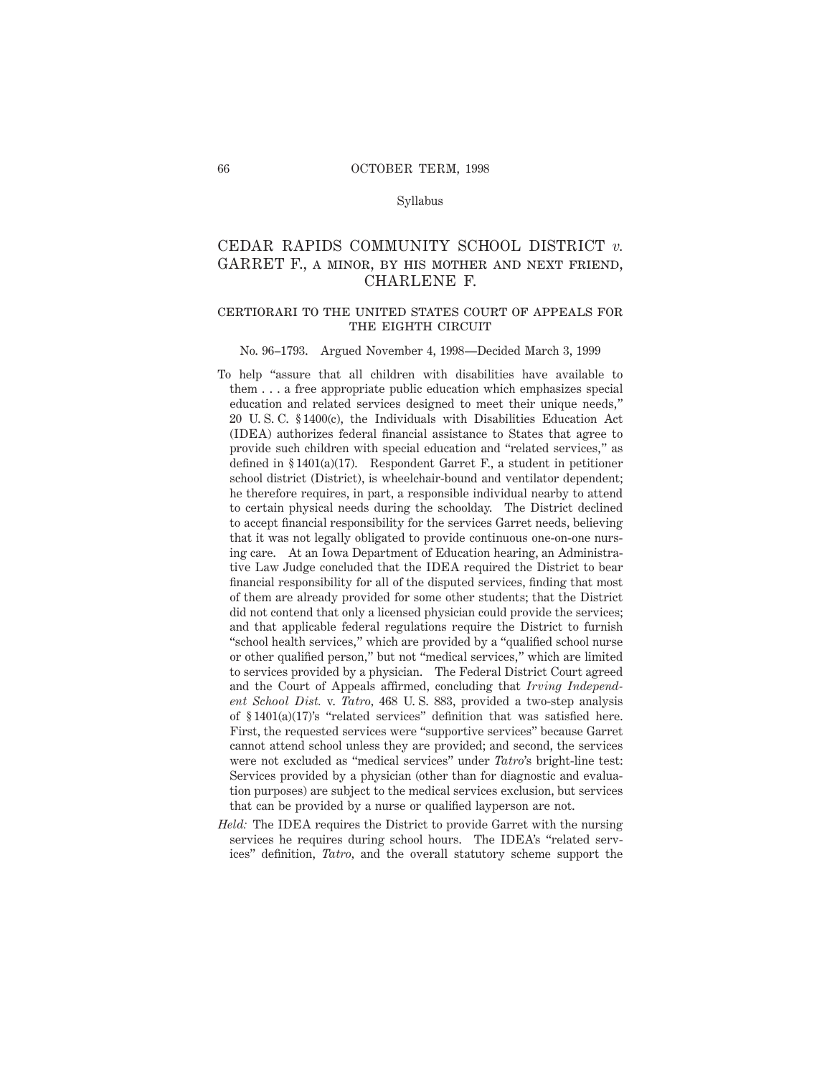#### Syllabus

# CEDAR RAPIDS COMMUNITY SCHOOL DISTRICT *v.* GARRET F., a minor, by his mother and next friend, CHARLENE F.

# certiorari to the united states court of appeals for THE EIGHTH CIRCUIT

#### No. 96–1793. Argued November 4, 1998—Decided March 3, 1999

- To help "assure that all children with disabilities have available to them . . . a free appropriate public education which emphasizes special education and related services designed to meet their unique needs," 20 U. S. C. § 1400(c), the Individuals with Disabilities Education Act (IDEA) authorizes federal financial assistance to States that agree to provide such children with special education and "related services," as defined in § 1401(a)(17). Respondent Garret F., a student in petitioner school district (District), is wheelchair-bound and ventilator dependent; he therefore requires, in part, a responsible individual nearby to attend to certain physical needs during the schoolday. The District declined to accept financial responsibility for the services Garret needs, believing that it was not legally obligated to provide continuous one-on-one nursing care. At an Iowa Department of Education hearing, an Administrative Law Judge concluded that the IDEA required the District to bear financial responsibility for all of the disputed services, finding that most of them are already provided for some other students; that the District did not contend that only a licensed physician could provide the services; and that applicable federal regulations require the District to furnish "school health services," which are provided by a "qualified school nurse or other qualified person," but not "medical services," which are limited to services provided by a physician. The Federal District Court agreed and the Court of Appeals affirmed, concluding that *Irving Independent School Dist.* v. *Tatro,* 468 U. S. 883, provided a two-step analysis of § 1401(a)(17)'s "related services" definition that was satisfied here. First, the requested services were "supportive services" because Garret cannot attend school unless they are provided; and second, the services were not excluded as "medical services" under *Tatro*'s bright-line test: Services provided by a physician (other than for diagnostic and evaluation purposes) are subject to the medical services exclusion, but services that can be provided by a nurse or qualified layperson are not.
- *Held:* The IDEA requires the District to provide Garret with the nursing services he requires during school hours. The IDEA's "related services" definition, *Tatro,* and the overall statutory scheme support the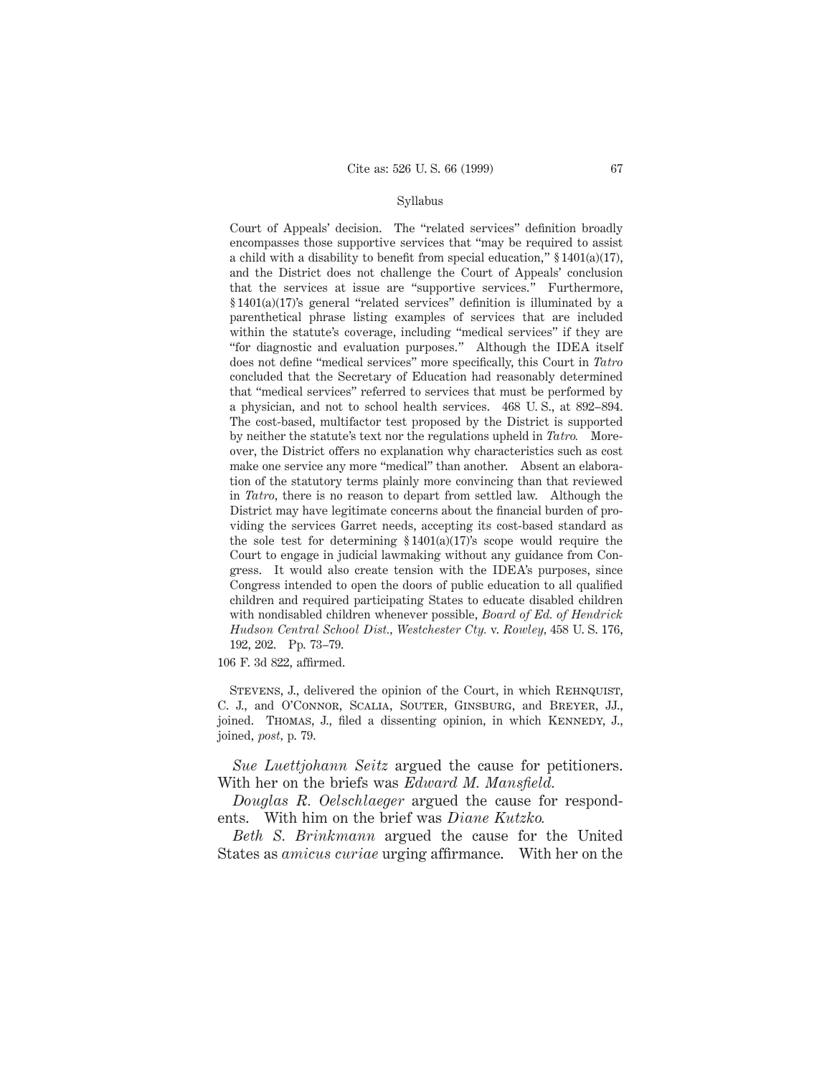#### Syllabus

Court of Appeals' decision. The "related services" definition broadly encompasses those supportive services that "may be required to assist a child with a disability to benefit from special education,"  $\S 1401(a)(17)$ , and the District does not challenge the Court of Appeals' conclusion that the services at issue are "supportive services." Furthermore, § 1401(a)(17)'s general "related services" definition is illuminated by a parenthetical phrase listing examples of services that are included within the statute's coverage, including "medical services" if they are "for diagnostic and evaluation purposes." Although the IDEA itself does not define "medical services" more specifically, this Court in *Tatro* concluded that the Secretary of Education had reasonably determined that "medical services" referred to services that must be performed by a physician, and not to school health services. 468 U. S., at 892–894. The cost-based, multifactor test proposed by the District is supported by neither the statute's text nor the regulations upheld in *Tatro.* Moreover, the District offers no explanation why characteristics such as cost make one service any more "medical" than another. Absent an elaboration of the statutory terms plainly more convincing than that reviewed in *Tatro,* there is no reason to depart from settled law. Although the District may have legitimate concerns about the financial burden of providing the services Garret needs, accepting its cost-based standard as the sole test for determining  $$1401(a)(17)'$ s scope would require the Court to engage in judicial lawmaking without any guidance from Congress. It would also create tension with the IDEA's purposes, since Congress intended to open the doors of public education to all qualified children and required participating States to educate disabled children with nondisabled children whenever possible, *Board of Ed. of Hendrick Hudson Central School Dist., Westchester Cty.* v. *Rowley,* 458 U. S. 176, 192, 202. Pp. 73–79.

106 F. 3d 822, affirmed.

STEVENS, J., delivered the opinion of the Court, in which REHNQUIST, C. J., and O'Connor, Scalia, Souter, Ginsburg, and Breyer, JJ., joined. Thomas, J., filed a dissenting opinion, in which KENNEDY, J., joined, *post,* p. 79.

*Sue Luettjohann Seitz* argued the cause for petitioners. With her on the briefs was *Edward M. Mansfield.*

*Douglas R. Oelschlaeger* argued the cause for respondents. With him on the brief was *Diane Kutzko.*

*Beth S. Brinkmann* argued the cause for the United States as *amicus curiae* urging affirmance. With her on the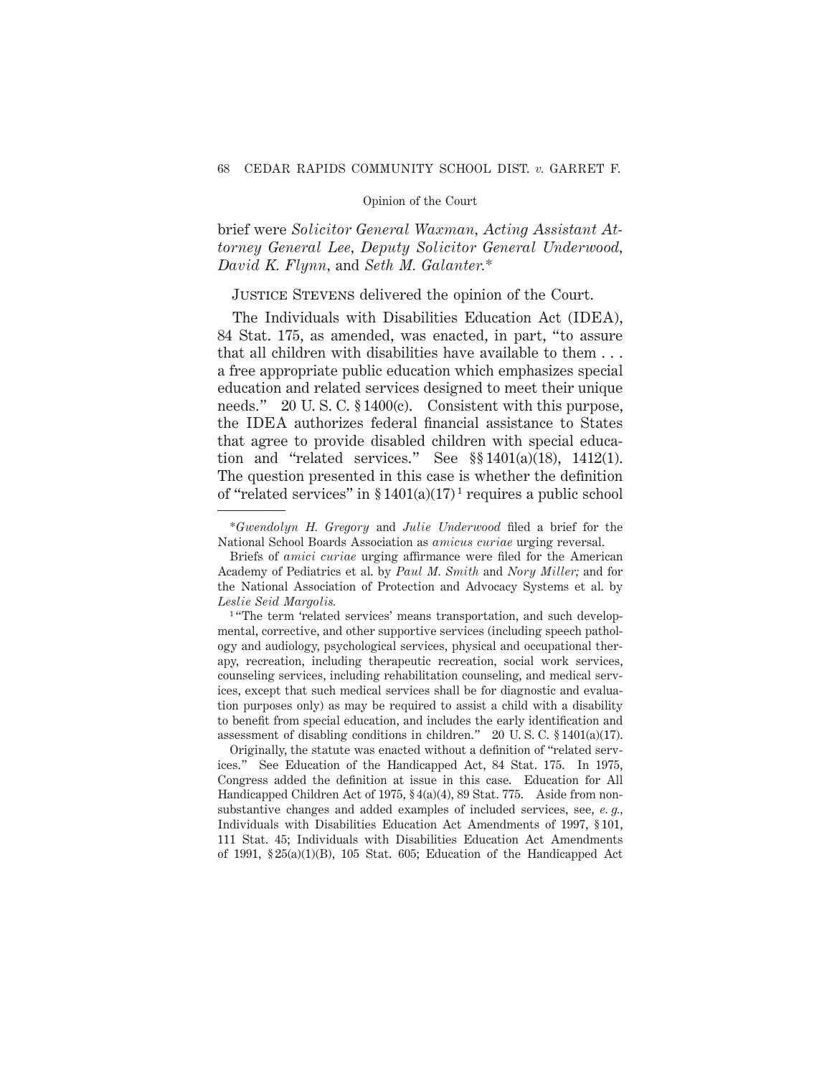brief were *Solicitor General Waxman, Acting Assistant Attorney General Lee, Deputy Solicitor General Underwood, David K. Flynn,* and *Seth M. Galanter.*\*

# Justice Stevens delivered the opinion of the Court.

The Individuals with Disabilities Education Act (IDEA), 84 Stat. 175, as amended, was enacted, in part, "to assure that all children with disabilities have available to them . . . a free appropriate public education which emphasizes special education and related services designed to meet their unique needs." 20 U.S.C. § 1400(c). Consistent with this purpose, the IDEA authorizes federal financial assistance to States that agree to provide disabled children with special education and "related services." See §§ 1401(a)(18), 1412(1). The question presented in this case is whether the definition of "related services" in  $\S 1401(a)(17)^1$  requires a public school

Originally, the statute was enacted without a definition of "related services." See Education of the Handicapped Act, 84 Stat. 175. In 1975, Congress added the definition at issue in this case. Education for All Handicapped Children Act of 1975, § 4(a)(4), 89 Stat. 775. Aside from nonsubstantive changes and added examples of included services, see, *e. g.,* Individuals with Disabilities Education Act Amendments of 1997, § 101, 111 Stat. 45; Individuals with Disabilities Education Act Amendments of 1991, § 25(a)(1)(B), 105 Stat. 605; Education of the Handicapped Act

<sup>\*</sup>*Gwendolyn H. Gregory* and *Julie Underwood* filed a brief for the National School Boards Association as *amicus curiae* urging reversal.

Briefs of *amici curiae* urging affirmance were filed for the American Academy of Pediatrics et al. by *Paul M. Smith* and *Nory Miller;* and for the National Association of Protection and Advocacy Systems et al. by *Leslie Seid Margolis.*

<sup>&</sup>lt;sup>1</sup> "The term 'related services' means transportation, and such developmental, corrective, and other supportive services (including speech pathology and audiology, psychological services, physical and occupational therapy, recreation, including therapeutic recreation, social work services, counseling services, including rehabilitation counseling, and medical services, except that such medical services shall be for diagnostic and evaluation purposes only) as may be required to assist a child with a disability to benefit from special education, and includes the early identification and assessment of disabling conditions in children." 20 U. S. C. § 1401(a)(17).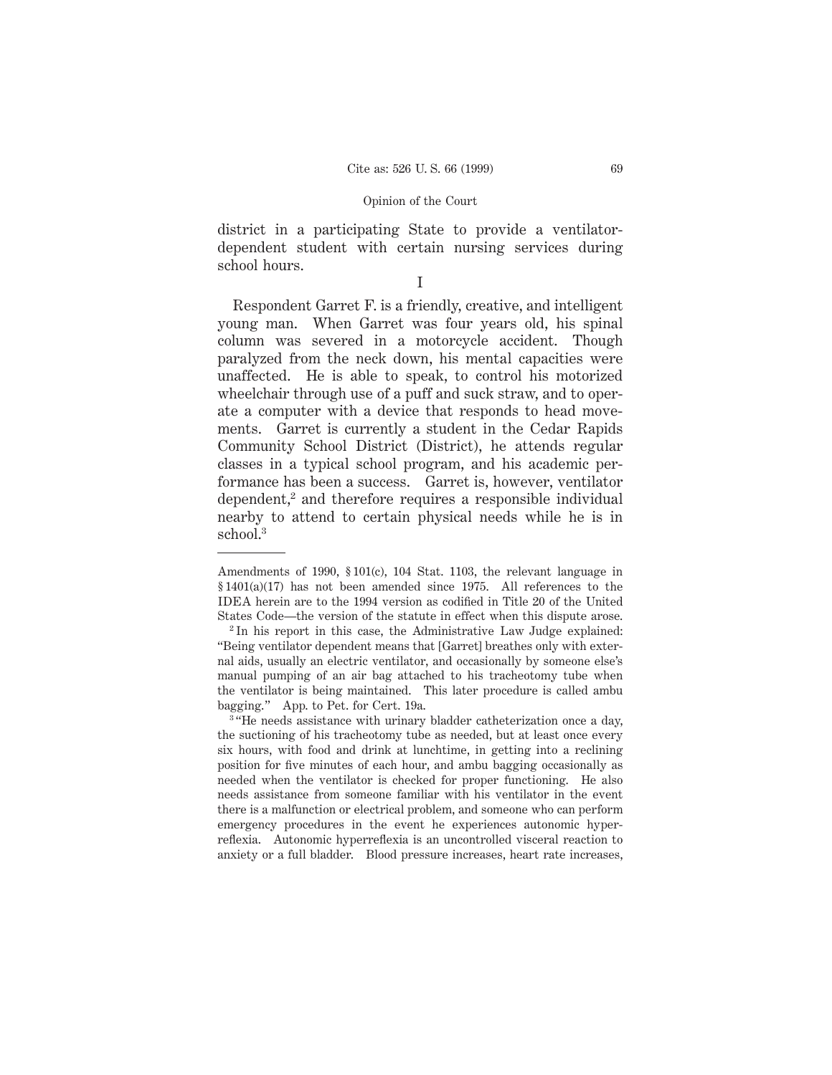district in a participating State to provide a ventilatordependent student with certain nursing services during school hours.

I

Respondent Garret F. is a friendly, creative, and intelligent young man. When Garret was four years old, his spinal column was severed in a motorcycle accident. Though paralyzed from the neck down, his mental capacities were unaffected. He is able to speak, to control his motorized wheelchair through use of a puff and suck straw, and to operate a computer with a device that responds to head movements. Garret is currently a student in the Cedar Rapids Community School District (District), he attends regular classes in a typical school program, and his academic performance has been a success. Garret is, however, ventilator dependent,<sup>2</sup> and therefore requires a responsible individual nearby to attend to certain physical needs while he is in school.<sup>3</sup>

Amendments of 1990, § 101(c), 104 Stat. 1103, the relevant language in  $§ 1401(a)(17)$  has not been amended since 1975. All references to the IDEA herein are to the 1994 version as codified in Title 20 of the United States Code—the version of the statute in effect when this dispute arose.

<sup>2</sup> In his report in this case, the Administrative Law Judge explained: "Being ventilator dependent means that [Garret] breathes only with external aids, usually an electric ventilator, and occasionally by someone else's manual pumping of an air bag attached to his tracheotomy tube when the ventilator is being maintained. This later procedure is called ambu bagging." App. to Pet. for Cert. 19a.

<sup>&</sup>lt;sup>3</sup> "He needs assistance with urinary bladder catheterization once a day, the suctioning of his tracheotomy tube as needed, but at least once every six hours, with food and drink at lunchtime, in getting into a reclining position for five minutes of each hour, and ambu bagging occasionally as needed when the ventilator is checked for proper functioning. He also needs assistance from someone familiar with his ventilator in the event there is a malfunction or electrical problem, and someone who can perform emergency procedures in the event he experiences autonomic hyperreflexia. Autonomic hyperreflexia is an uncontrolled visceral reaction to anxiety or a full bladder. Blood pressure increases, heart rate increases,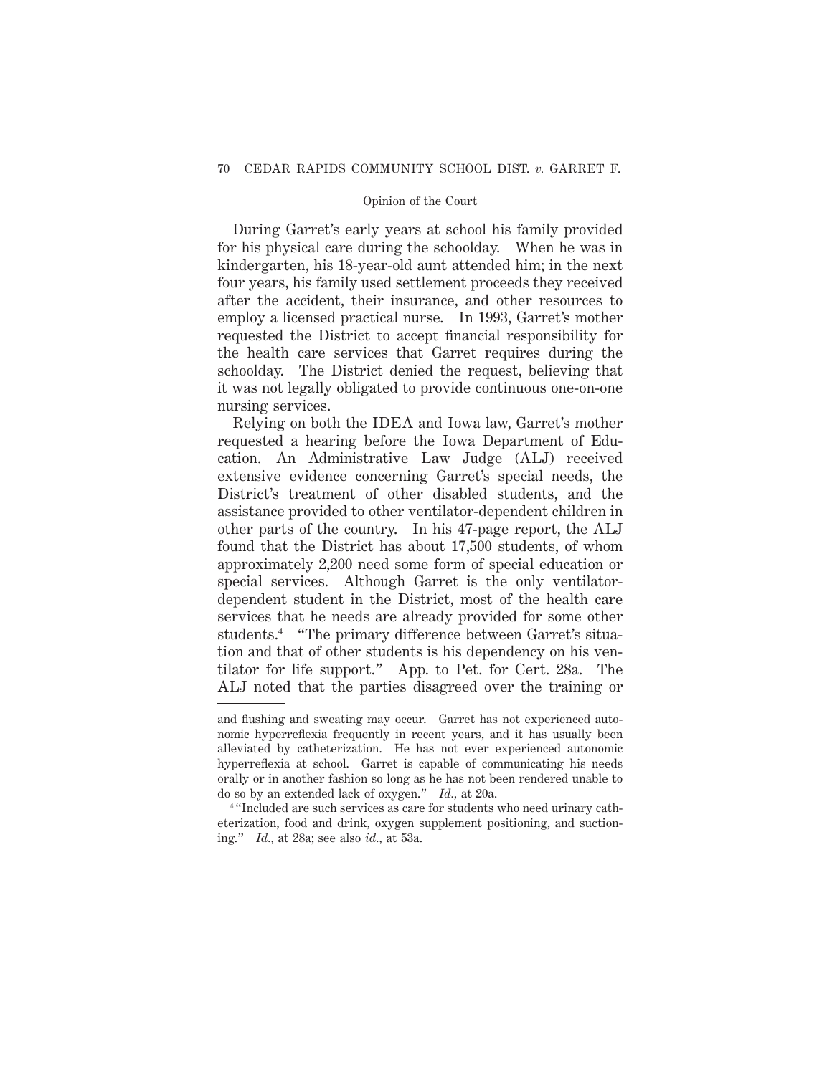During Garret's early years at school his family provided for his physical care during the schoolday. When he was in kindergarten, his 18-year-old aunt attended him; in the next four years, his family used settlement proceeds they received after the accident, their insurance, and other resources to employ a licensed practical nurse. In 1993, Garret's mother requested the District to accept financial responsibility for the health care services that Garret requires during the schoolday. The District denied the request, believing that it was not legally obligated to provide continuous one-on-one nursing services.

Relying on both the IDEA and Iowa law, Garret's mother requested a hearing before the Iowa Department of Education. An Administrative Law Judge (ALJ) received extensive evidence concerning Garret's special needs, the District's treatment of other disabled students, and the assistance provided to other ventilator-dependent children in other parts of the country. In his 47-page report, the ALJ found that the District has about 17,500 students, of whom approximately 2,200 need some form of special education or special services. Although Garret is the only ventilatordependent student in the District, most of the health care services that he needs are already provided for some other students.4 "The primary difference between Garret's situation and that of other students is his dependency on his ventilator for life support." App. to Pet. for Cert. 28a. The ALJ noted that the parties disagreed over the training or

and flushing and sweating may occur. Garret has not experienced autonomic hyperreflexia frequently in recent years, and it has usually been alleviated by catheterization. He has not ever experienced autonomic hyperreflexia at school. Garret is capable of communicating his needs orally or in another fashion so long as he has not been rendered unable to do so by an extended lack of oxygen." *Id.,* at 20a.

<sup>4</sup> "Included are such services as care for students who need urinary catheterization, food and drink, oxygen supplement positioning, and suctioning." *Id.,* at 28a; see also *id.,* at 53a.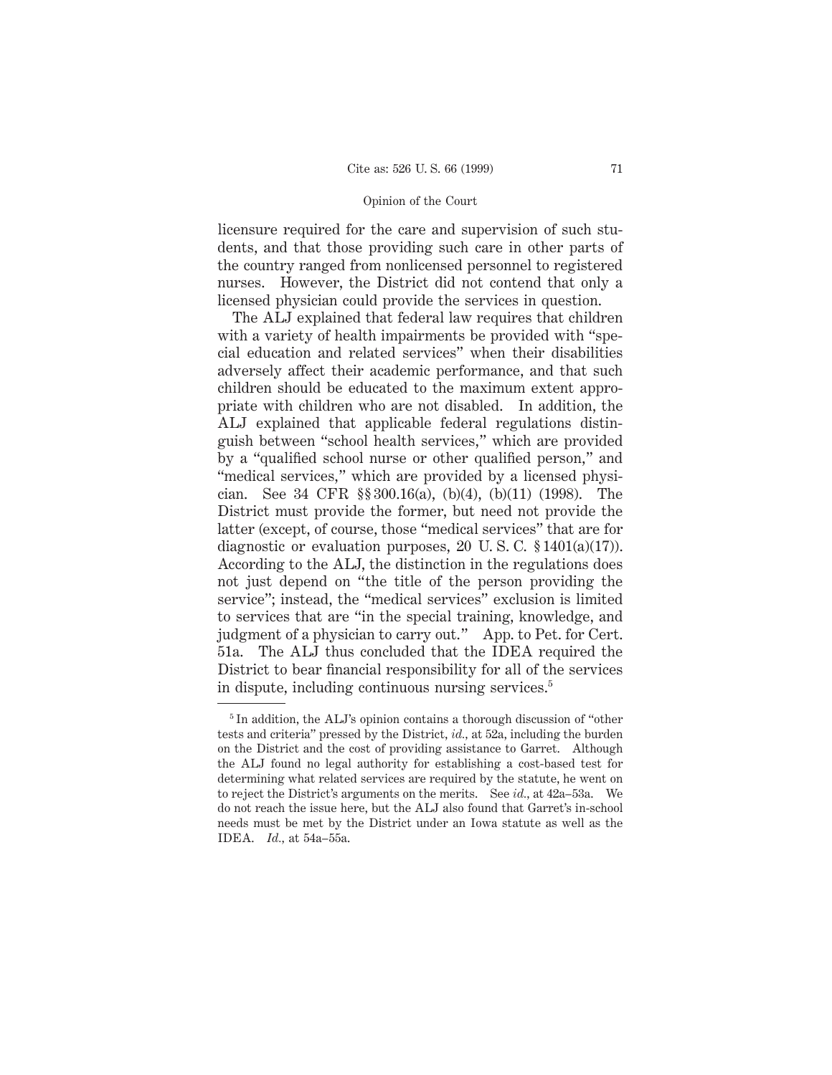licensure required for the care and supervision of such students, and that those providing such care in other parts of the country ranged from nonlicensed personnel to registered nurses. However, the District did not contend that only a licensed physician could provide the services in question.

The ALJ explained that federal law requires that children with a variety of health impairments be provided with "special education and related services" when their disabilities adversely affect their academic performance, and that such children should be educated to the maximum extent appropriate with children who are not disabled. In addition, the ALJ explained that applicable federal regulations distinguish between "school health services," which are provided by a "qualified school nurse or other qualified person," and "medical services," which are provided by a licensed physician. See 34 CFR §§ 300.16(a), (b)(4), (b)(11) (1998). The District must provide the former, but need not provide the latter (except, of course, those "medical services" that are for diagnostic or evaluation purposes, 20 U.S.C.  $$1401(a)(17)$ . According to the ALJ, the distinction in the regulations does not just depend on "the title of the person providing the service"; instead, the "medical services" exclusion is limited to services that are "in the special training, knowledge, and judgment of a physician to carry out." App. to Pet. for Cert. 51a. The ALJ thus concluded that the IDEA required the District to bear financial responsibility for all of the services in dispute, including continuous nursing services.5

<sup>5</sup> In addition, the ALJ's opinion contains a thorough discussion of "other tests and criteria" pressed by the District, *id.,* at 52a, including the burden on the District and the cost of providing assistance to Garret. Although the ALJ found no legal authority for establishing a cost-based test for determining what related services are required by the statute, he went on to reject the District's arguments on the merits. See *id.,* at 42a–53a. We do not reach the issue here, but the ALJ also found that Garret's in-school needs must be met by the District under an Iowa statute as well as the IDEA. *Id.,* at 54a–55a.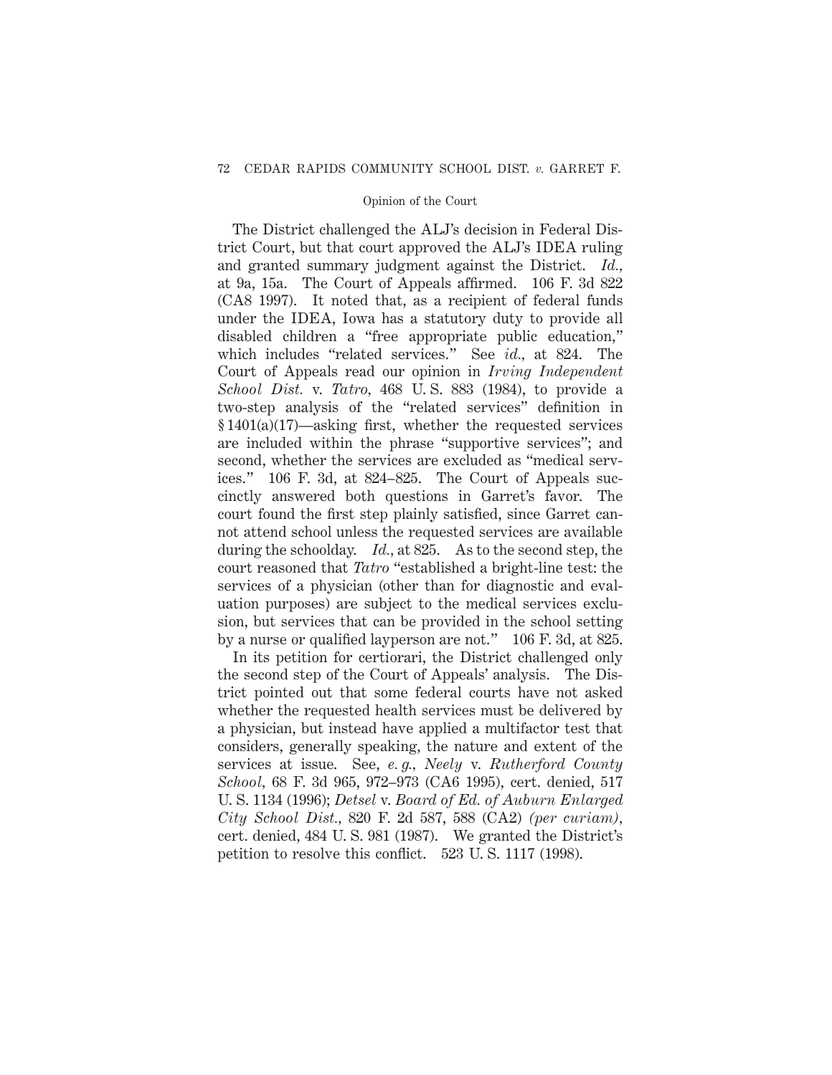The District challenged the ALJ's decision in Federal District Court, but that court approved the ALJ's IDEA ruling and granted summary judgment against the District. *Id.,* at 9a, 15a. The Court of Appeals affirmed. 106 F. 3d 822 (CA8 1997). It noted that, as a recipient of federal funds under the IDEA, Iowa has a statutory duty to provide all disabled children a "free appropriate public education," which includes "related services." See *id.,* at 824. The Court of Appeals read our opinion in *Irving Independent School Dist.* v. *Tatro,* 468 U. S. 883 (1984), to provide a two-step analysis of the "related services" definition in § 1401(a)(17)—asking first, whether the requested services are included within the phrase "supportive services"; and second, whether the services are excluded as "medical services." 106 F. 3d, at 824–825. The Court of Appeals succinctly answered both questions in Garret's favor. The court found the first step plainly satisfied, since Garret cannot attend school unless the requested services are available during the schoolday. *Id.,* at 825. As to the second step, the court reasoned that *Tatro* "established a bright-line test: the services of a physician (other than for diagnostic and evaluation purposes) are subject to the medical services exclusion, but services that can be provided in the school setting by a nurse or qualified layperson are not." 106 F. 3d, at 825.

In its petition for certiorari, the District challenged only the second step of the Court of Appeals' analysis. The District pointed out that some federal courts have not asked whether the requested health services must be delivered by a physician, but instead have applied a multifactor test that considers, generally speaking, the nature and extent of the services at issue. See, *e. g., Neely* v. *Rutherford County School,* 68 F. 3d 965, 972–973 (CA6 1995), cert. denied, 517 U. S. 1134 (1996); *Detsel* v. *Board of Ed. of Auburn Enlarged City School Dist.,* 820 F. 2d 587, 588 (CA2) *(per curiam),* cert. denied, 484 U. S. 981 (1987). We granted the District's petition to resolve this conflict. 523 U. S. 1117 (1998).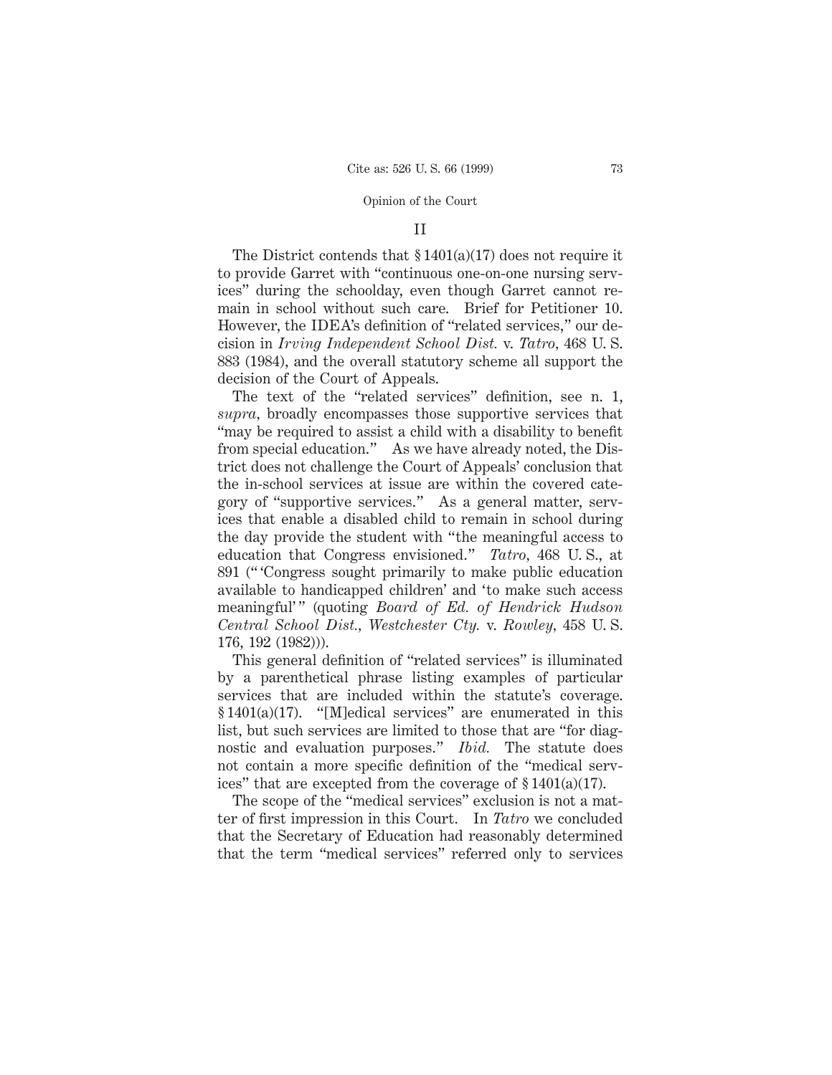### II

The District contends that  $\S 1401(a)(17)$  does not require it to provide Garret with "continuous one-on-one nursing services" during the schoolday, even though Garret cannot remain in school without such care. Brief for Petitioner 10. However, the IDEA's definition of "related services," our decision in *Irving Independent School Dist.* v. *Tatro,* 468 U. S. 883 (1984), and the overall statutory scheme all support the decision of the Court of Appeals.

The text of the "related services" definition, see n. 1, *supra,* broadly encompasses those supportive services that "may be required to assist a child with a disability to benefit from special education." As we have already noted, the District does not challenge the Court of Appeals' conclusion that the in-school services at issue are within the covered category of "supportive services." As a general matter, services that enable a disabled child to remain in school during the day provide the student with "the meaningful access to education that Congress envisioned." *Tatro,* 468 U. S., at 891 (" 'Congress sought primarily to make public education available to handicapped children' and 'to make such access meaningful'" (quoting *Board of Ed. of Hendrick Hudson Central School Dist., Westchester Cty.* v. *Rowley,* 458 U. S. 176, 192 (1982))).

This general definition of "related services" is illuminated by a parenthetical phrase listing examples of particular services that are included within the statute's coverage. § 1401(a)(17). "[M]edical services" are enumerated in this list, but such services are limited to those that are "for diagnostic and evaluation purposes." *Ibid.* The statute does not contain a more specific definition of the "medical services" that are excepted from the coverage of § 1401(a)(17).

The scope of the "medical services" exclusion is not a matter of first impression in this Court. In *Tatro* we concluded that the Secretary of Education had reasonably determined that the term "medical services" referred only to services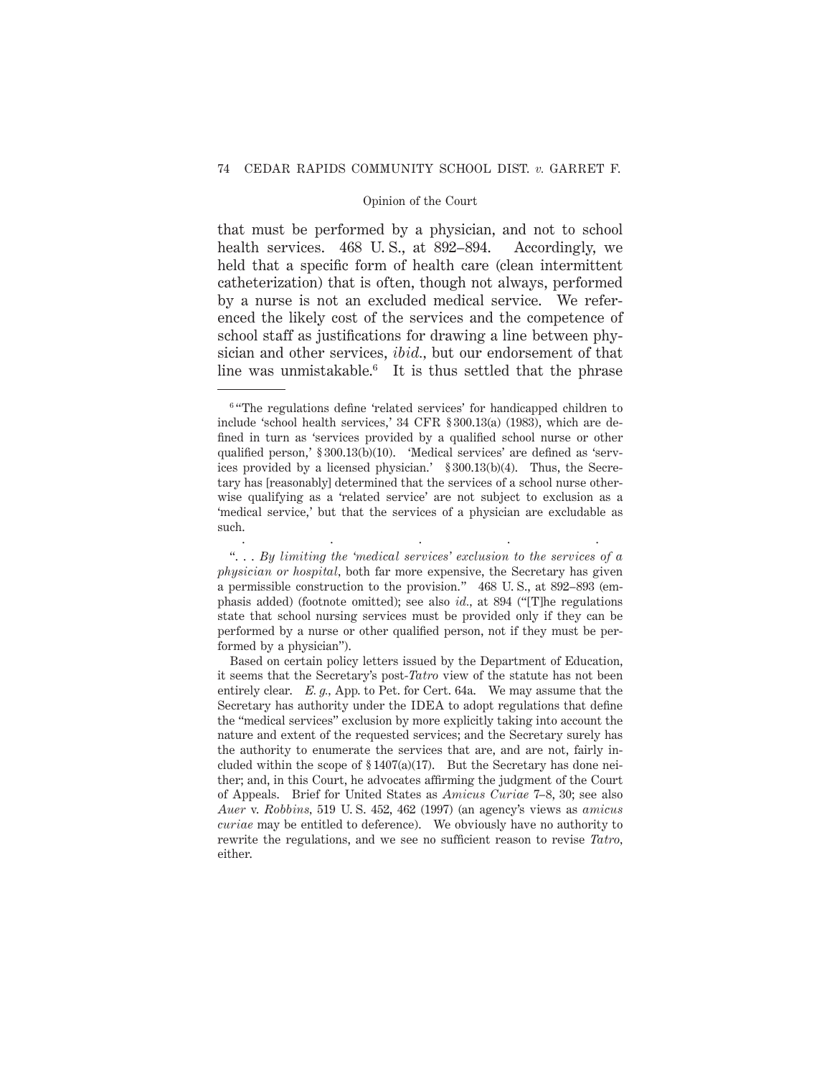that must be performed by a physician, and not to school health services. 468 U.S., at 892–894. Accordingly, we held that a specific form of health care (clean intermittent catheterization) that is often, though not always, performed by a nurse is not an excluded medical service. We referenced the likely cost of the services and the competence of school staff as justifications for drawing a line between physician and other services, *ibid.,* but our endorsement of that line was unmistakable.<sup>6</sup> It is thus settled that the phrase

.....

<sup>&</sup>lt;sup>6</sup> "The regulations define 'related services' for handicapped children to include 'school health services,' 34 CFR § 300.13(a) (1983), which are defined in turn as 'services provided by a qualified school nurse or other qualified person,' § 300.13(b)(10). 'Medical services' are defined as 'services provided by a licensed physician.' § 300.13(b)(4). Thus, the Secretary has [reasonably] determined that the services of a school nurse otherwise qualifying as a 'related service' are not subject to exclusion as a 'medical service,' but that the services of a physician are excludable as such.

<sup>&</sup>quot;. . . *By limiting the 'medical services' exclusion to the services of a physician or hospital,* both far more expensive, the Secretary has given a permissible construction to the provision." 468 U. S., at 892–893 (emphasis added) (footnote omitted); see also *id.,* at 894 ("[T]he regulations state that school nursing services must be provided only if they can be performed by a nurse or other qualified person, not if they must be performed by a physician").

Based on certain policy letters issued by the Department of Education, it seems that the Secretary's post-*Tatro* view of the statute has not been entirely clear. *E. g.,* App. to Pet. for Cert. 64a. We may assume that the Secretary has authority under the IDEA to adopt regulations that define the "medical services" exclusion by more explicitly taking into account the nature and extent of the requested services; and the Secretary surely has the authority to enumerate the services that are, and are not, fairly included within the scope of  $\S 1407(a)(17)$ . But the Secretary has done neither; and, in this Court, he advocates affirming the judgment of the Court of Appeals. Brief for United States as *Amicus Curiae* 7–8, 30; see also *Auer* v. *Robbins,* 519 U. S. 452, 462 (1997) (an agency's views as *amicus curiae* may be entitled to deference). We obviously have no authority to rewrite the regulations, and we see no sufficient reason to revise *Tatro,* either.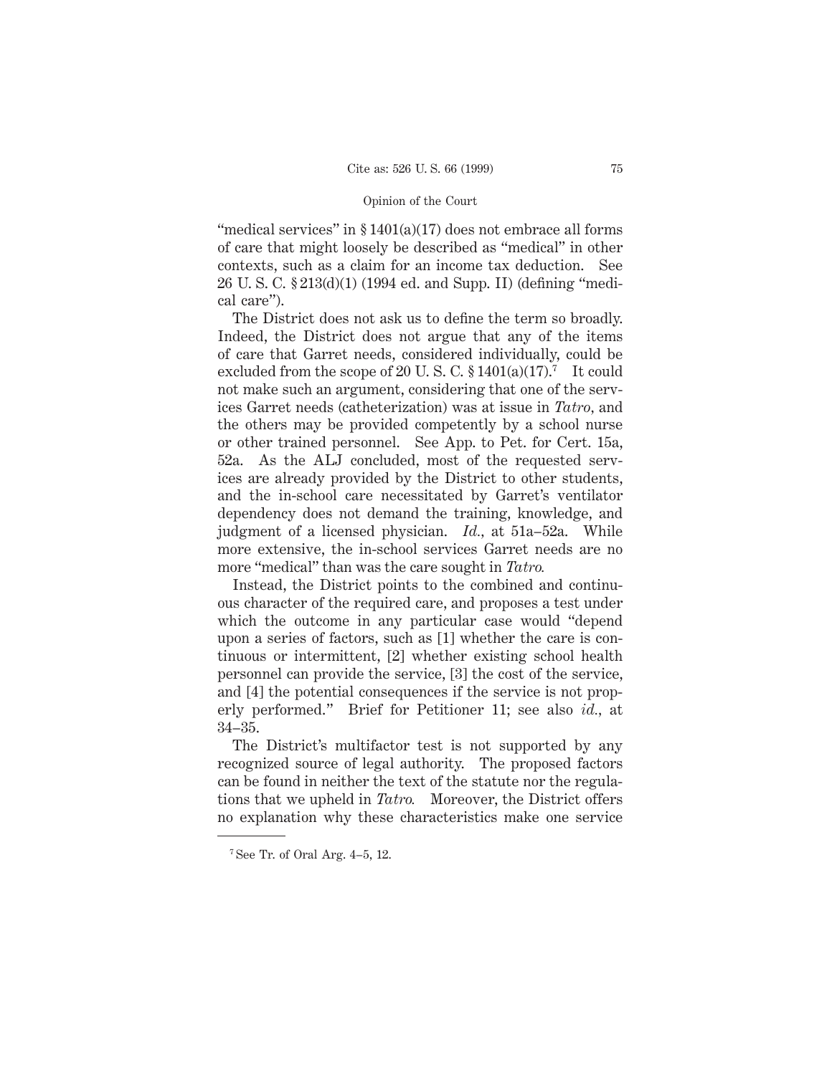"medical services" in  $$1401(a)(17)$  does not embrace all forms of care that might loosely be described as "medical" in other contexts, such as a claim for an income tax deduction. See 26 U. S. C. § 213(d)(1) (1994 ed. and Supp. II) (defining "medical care").

The District does not ask us to define the term so broadly. Indeed, the District does not argue that any of the items of care that Garret needs, considered individually, could be excluded from the scope of 20 U.S.C.  $\S 1401(a)(17)$ .<sup>7</sup> It could not make such an argument, considering that one of the services Garret needs (catheterization) was at issue in *Tatro,* and the others may be provided competently by a school nurse or other trained personnel. See App. to Pet. for Cert. 15a, 52a. As the ALJ concluded, most of the requested services are already provided by the District to other students, and the in-school care necessitated by Garret's ventilator dependency does not demand the training, knowledge, and judgment of a licensed physician. *Id.,* at 51a–52a. While more extensive, the in-school services Garret needs are no more "medical" than was the care sought in *Tatro.*

Instead, the District points to the combined and continuous character of the required care, and proposes a test under which the outcome in any particular case would "depend upon a series of factors, such as [1] whether the care is continuous or intermittent, [2] whether existing school health personnel can provide the service, [3] the cost of the service, and [4] the potential consequences if the service is not properly performed." Brief for Petitioner 11; see also *id.,* at 34–35.

The District's multifactor test is not supported by any recognized source of legal authority. The proposed factors can be found in neither the text of the statute nor the regulations that we upheld in *Tatro.* Moreover, the District offers no explanation why these characteristics make one service

<sup>7</sup> See Tr. of Oral Arg. 4–5, 12.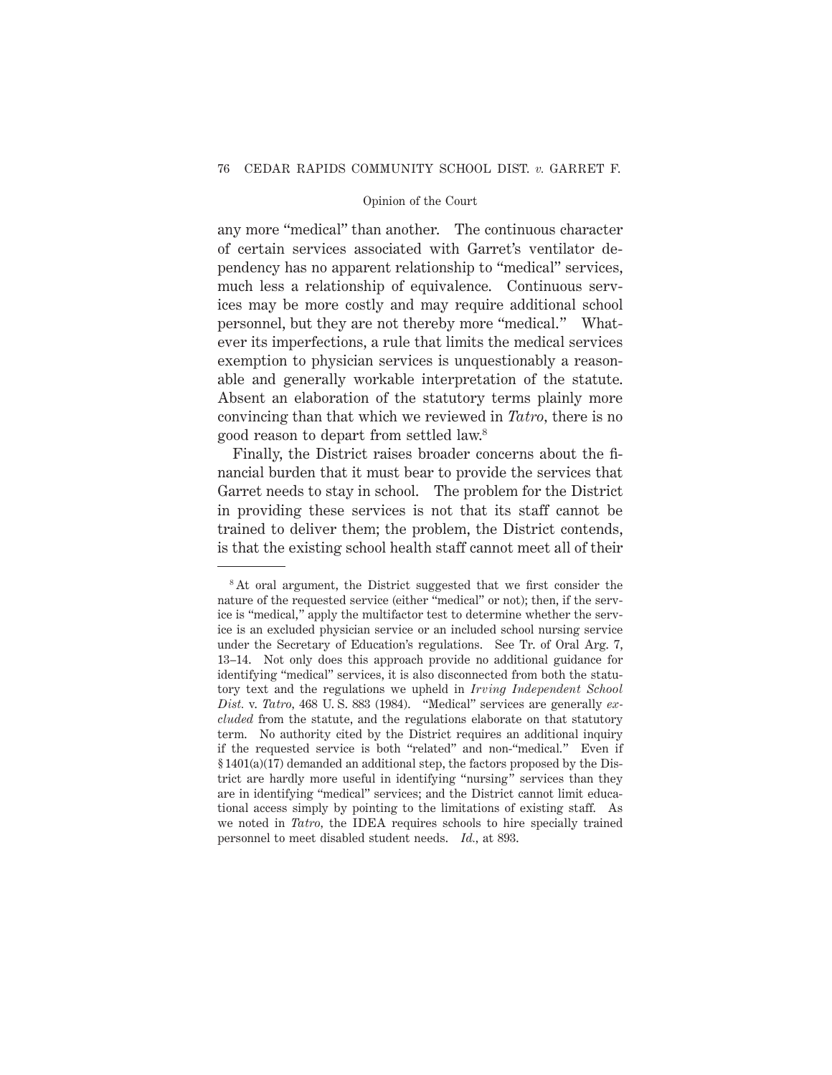any more "medical" than another. The continuous character of certain services associated with Garret's ventilator dependency has no apparent relationship to "medical" services, much less a relationship of equivalence. Continuous services may be more costly and may require additional school personnel, but they are not thereby more "medical." Whatever its imperfections, a rule that limits the medical services exemption to physician services is unquestionably a reasonable and generally workable interpretation of the statute. Absent an elaboration of the statutory terms plainly more convincing than that which we reviewed in *Tatro,* there is no good reason to depart from settled law.8

Finally, the District raises broader concerns about the financial burden that it must bear to provide the services that Garret needs to stay in school. The problem for the District in providing these services is not that its staff cannot be trained to deliver them; the problem, the District contends, is that the existing school health staff cannot meet all of their

<sup>&</sup>lt;sup>8</sup>At oral argument, the District suggested that we first consider the nature of the requested service (either "medical" or not); then, if the service is "medical," apply the multifactor test to determine whether the service is an excluded physician service or an included school nursing service under the Secretary of Education's regulations. See Tr. of Oral Arg. 7, 13–14. Not only does this approach provide no additional guidance for identifying "medical" services, it is also disconnected from both the statutory text and the regulations we upheld in *Irving Independent School Dist.* v. *Tatro,* 468 U. S. 883 (1984). "Medical" services are generally *excluded* from the statute, and the regulations elaborate on that statutory term. No authority cited by the District requires an additional inquiry if the requested service is both "related" and non-"medical." Even if § 1401(a)(17) demanded an additional step, the factors proposed by the District are hardly more useful in identifying "nursing" services than they are in identifying "medical" services; and the District cannot limit educational access simply by pointing to the limitations of existing staff. As we noted in *Tatro,* the IDEA requires schools to hire specially trained personnel to meet disabled student needs. *Id.,* at 893.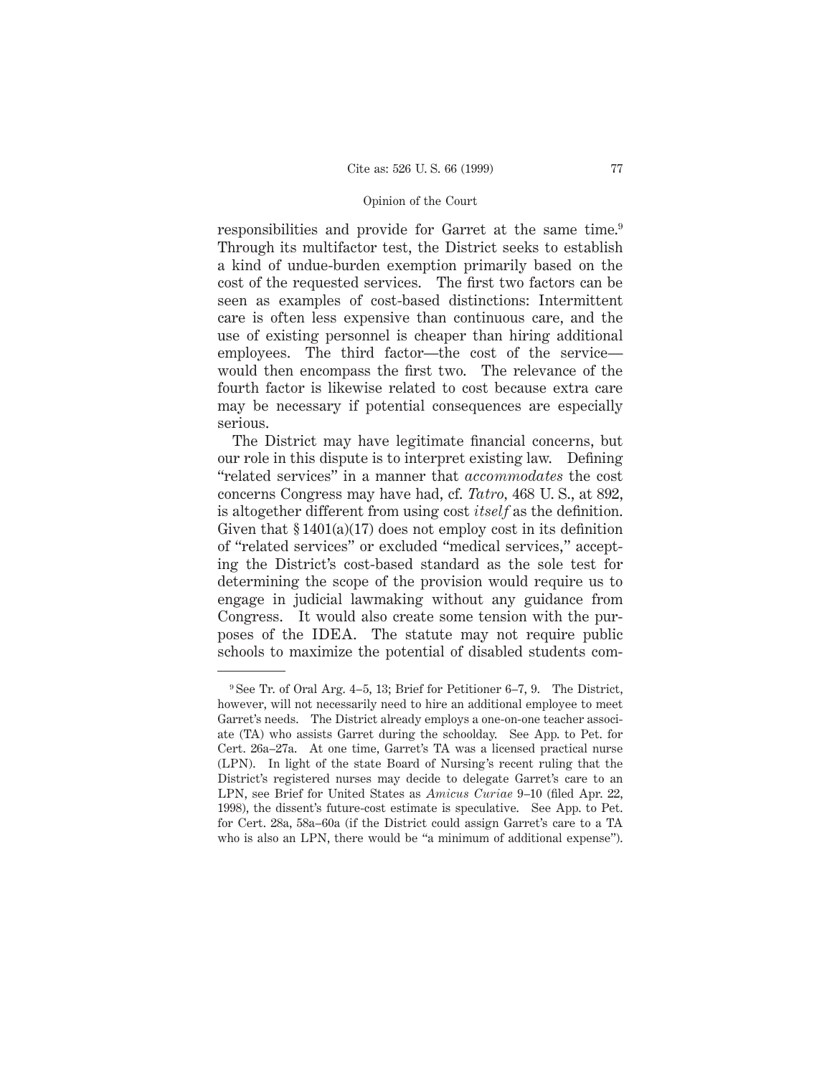responsibilities and provide for Garret at the same time.9 Through its multifactor test, the District seeks to establish a kind of undue-burden exemption primarily based on the cost of the requested services. The first two factors can be seen as examples of cost-based distinctions: Intermittent care is often less expensive than continuous care, and the use of existing personnel is cheaper than hiring additional employees. The third factor—the cost of the service would then encompass the first two. The relevance of the fourth factor is likewise related to cost because extra care may be necessary if potential consequences are especially serious.

The District may have legitimate financial concerns, but our role in this dispute is to interpret existing law. Defining "related services" in a manner that *accommodates* the cost concerns Congress may have had, cf. *Tatro,* 468 U. S., at 892, is altogether different from using cost *itself* as the definition. Given that  $$1401(a)(17)$  does not employ cost in its definition of "related services" or excluded "medical services," accepting the District's cost-based standard as the sole test for determining the scope of the provision would require us to engage in judicial lawmaking without any guidance from Congress. It would also create some tension with the purposes of the IDEA. The statute may not require public schools to maximize the potential of disabled students com-

<sup>9</sup> See Tr. of Oral Arg. 4–5, 13; Brief for Petitioner 6–7, 9. The District, however, will not necessarily need to hire an additional employee to meet Garret's needs. The District already employs a one-on-one teacher associate (TA) who assists Garret during the schoolday. See App. to Pet. for Cert. 26a–27a. At one time, Garret's TA was a licensed practical nurse (LPN). In light of the state Board of Nursing's recent ruling that the District's registered nurses may decide to delegate Garret's care to an LPN, see Brief for United States as *Amicus Curiae* 9–10 (filed Apr. 22, 1998), the dissent's future-cost estimate is speculative. See App. to Pet. for Cert. 28a, 58a–60a (if the District could assign Garret's care to a TA who is also an LPN, there would be "a minimum of additional expense").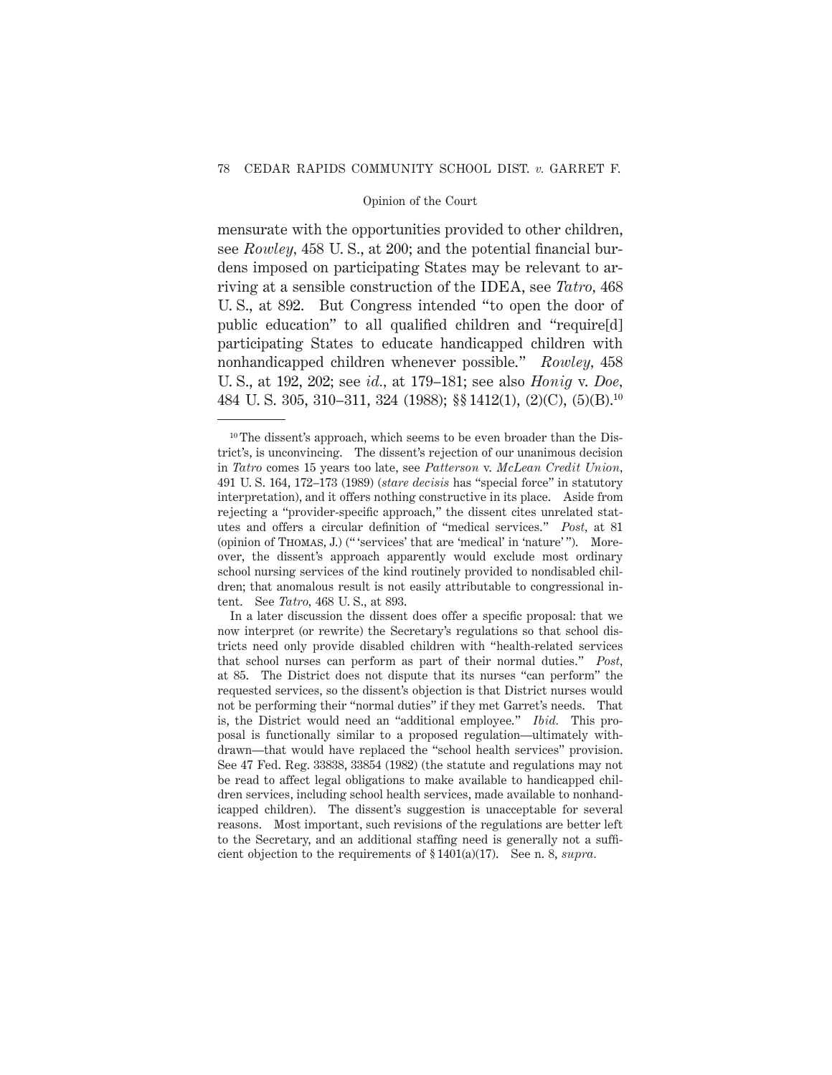mensurate with the opportunities provided to other children, see *Rowley,* 458 U. S., at 200; and the potential financial burdens imposed on participating States may be relevant to arriving at a sensible construction of the IDEA, see *Tatro,* 468 U. S., at 892. But Congress intended "to open the door of public education" to all qualified children and "require[d] participating States to educate handicapped children with nonhandicapped children whenever possible." *Rowley,* 458 U. S., at 192, 202; see *id.,* at 179–181; see also *Honig* v. *Doe,* 484 U. S. 305, 310–311, 324 (1988); §§ 1412(1), (2)(C), (5)(B).10

<sup>&</sup>lt;sup>10</sup> The dissent's approach, which seems to be even broader than the District's, is unconvincing. The dissent's rejection of our unanimous decision in *Tatro* comes 15 years too late, see *Patterson* v. *McLean Credit Union,* 491 U. S. 164, 172–173 (1989) (*stare decisis* has "special force" in statutory interpretation), and it offers nothing constructive in its place. Aside from rejecting a "provider-specific approach," the dissent cites unrelated statutes and offers a circular definition of "medical services." *Post,* at 81 (opinion of Thomas, J.) (" 'services' that are 'medical' in 'nature' "). Moreover, the dissent's approach apparently would exclude most ordinary school nursing services of the kind routinely provided to nondisabled children; that anomalous result is not easily attributable to congressional intent. See *Tatro,* 468 U. S., at 893.

In a later discussion the dissent does offer a specific proposal: that we now interpret (or rewrite) the Secretary's regulations so that school districts need only provide disabled children with "health-related services that school nurses can perform as part of their normal duties." *Post,* at 85. The District does not dispute that its nurses "can perform" the requested services, so the dissent's objection is that District nurses would not be performing their "normal duties" if they met Garret's needs. That is, the District would need an "additional employee." *Ibid.* This proposal is functionally similar to a proposed regulation—ultimately withdrawn—that would have replaced the "school health services" provision. See 47 Fed. Reg. 33838, 33854 (1982) (the statute and regulations may not be read to affect legal obligations to make available to handicapped children services, including school health services, made available to nonhandicapped children). The dissent's suggestion is unacceptable for several reasons. Most important, such revisions of the regulations are better left to the Secretary, and an additional staffing need is generally not a sufficient objection to the requirements of § 1401(a)(17). See n. 8, *supra.*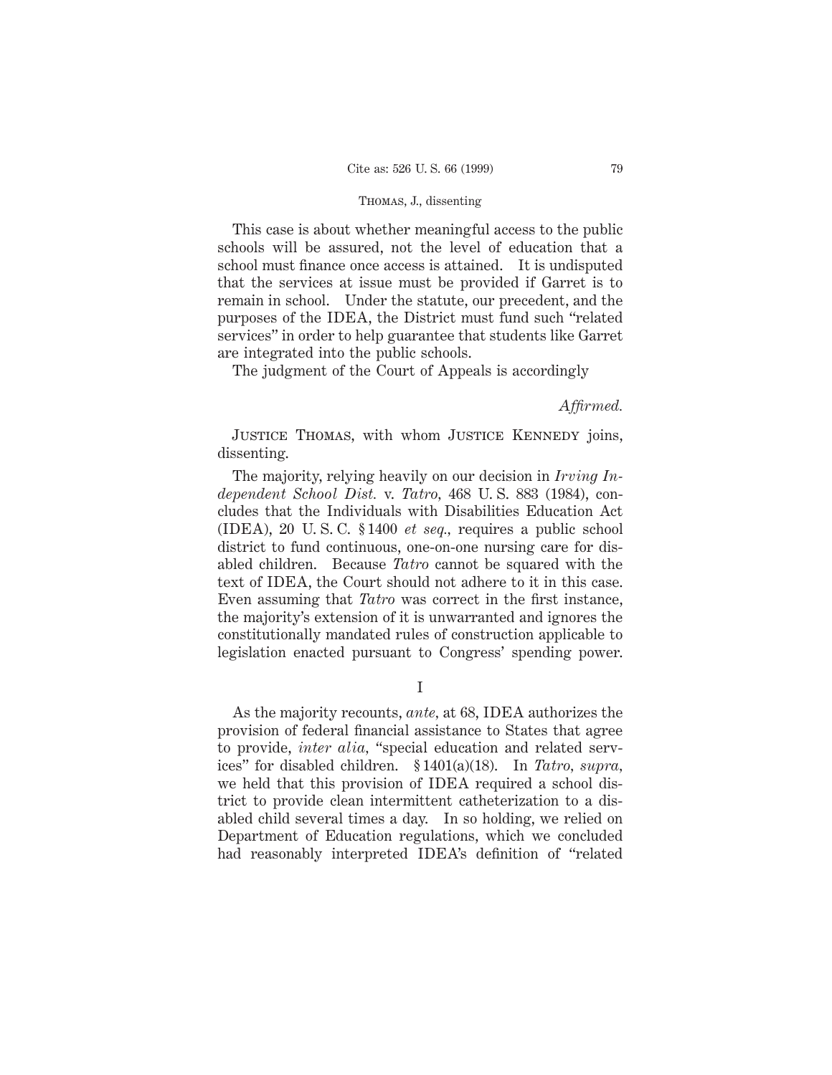This case is about whether meaningful access to the public schools will be assured, not the level of education that a school must finance once access is attained. It is undisputed that the services at issue must be provided if Garret is to remain in school. Under the statute, our precedent, and the purposes of the IDEA, the District must fund such "related services" in order to help guarantee that students like Garret are integrated into the public schools.

The judgment of the Court of Appeals is accordingly

*Affirmed.*

JUSTICE THOMAS, with whom JUSTICE KENNEDY joins, dissenting.

The majority, relying heavily on our decision in *Irving Independent School Dist.* v. *Tatro,* 468 U. S. 883 (1984), concludes that the Individuals with Disabilities Education Act (IDEA), 20 U. S. C. § 1400 *et seq.,* requires a public school district to fund continuous, one-on-one nursing care for disabled children. Because *Tatro* cannot be squared with the text of IDEA, the Court should not adhere to it in this case. Even assuming that *Tatro* was correct in the first instance, the majority's extension of it is unwarranted and ignores the constitutionally mandated rules of construction applicable to legislation enacted pursuant to Congress' spending power.

I

As the majority recounts, *ante,* at 68, IDEA authorizes the provision of federal financial assistance to States that agree to provide, *inter alia,* "special education and related services" for disabled children. § 1401(a)(18). In *Tatro, supra,* we held that this provision of IDEA required a school district to provide clean intermittent catheterization to a disabled child several times a day. In so holding, we relied on Department of Education regulations, which we concluded had reasonably interpreted IDEA's definition of "related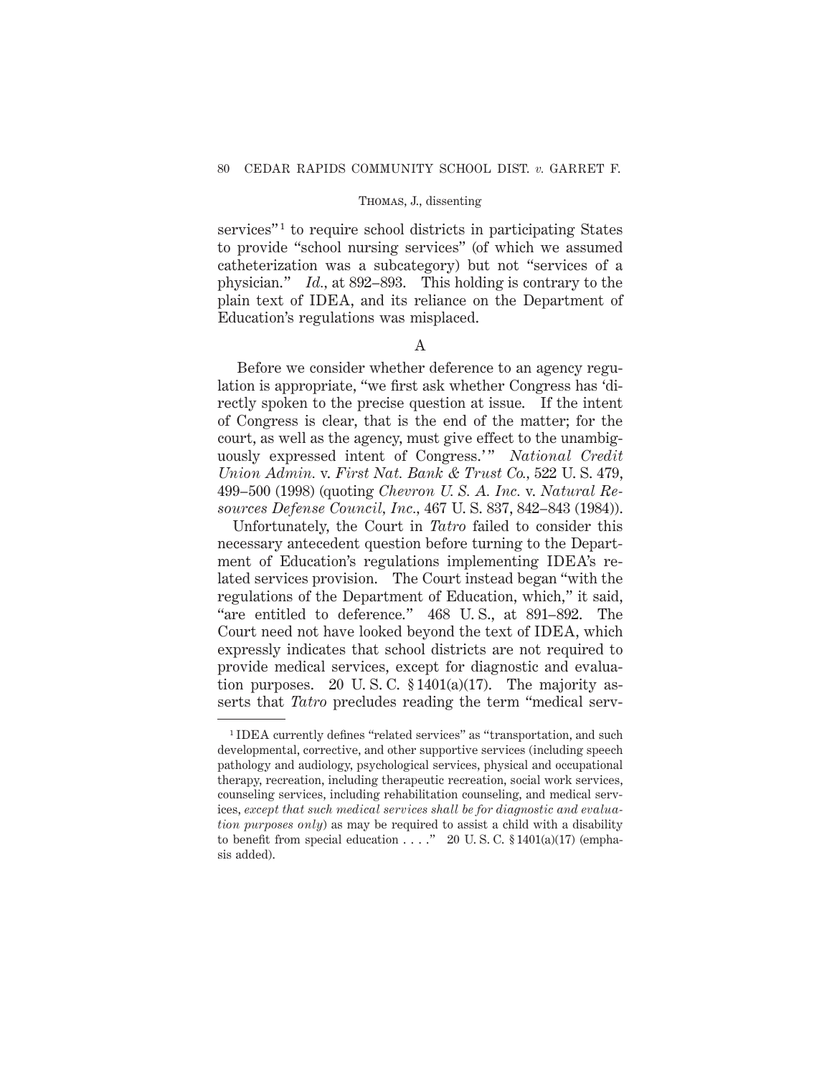services"<sup>1</sup> to require school districts in participating States to provide "school nursing services" (of which we assumed catheterization was a subcategory) but not "services of a physician." *Id.,* at 892–893. This holding is contrary to the plain text of IDEA, and its reliance on the Department of Education's regulations was misplaced.

# A

Before we consider whether deference to an agency regulation is appropriate, "we first ask whether Congress has 'directly spoken to the precise question at issue. If the intent of Congress is clear, that is the end of the matter; for the court, as well as the agency, must give effect to the unambiguously expressed intent of Congress.'" National Credit *Union Admin.* v. *First Nat. Bank & Trust Co.,* 522 U. S. 479, 499–500 (1998) (quoting *Chevron U. S. A. Inc.* v. *Natural Resources Defense Council, Inc.,* 467 U. S. 837, 842–843 (1984)).

Unfortunately, the Court in *Tatro* failed to consider this necessary antecedent question before turning to the Department of Education's regulations implementing IDEA's related services provision. The Court instead began "with the regulations of the Department of Education, which," it said, "are entitled to deference." 468 U. S., at 891–892. The Court need not have looked beyond the text of IDEA, which expressly indicates that school districts are not required to provide medical services, except for diagnostic and evaluation purposes. 20 U.S.C.  $$1401(a)(17)$ . The majority asserts that *Tatro* precludes reading the term "medical serv-

<sup>1</sup> IDEA currently defines "related services" as "transportation, and such developmental, corrective, and other supportive services (including speech pathology and audiology, psychological services, physical and occupational therapy, recreation, including therapeutic recreation, social work services, counseling services, including rehabilitation counseling, and medical services, *except that such medical services shall be for diagnostic and evaluation purposes only*) as may be required to assist a child with a disability to benefit from special education  $\ldots$ ." 20 U.S.C. § 1401(a)(17) (emphasis added).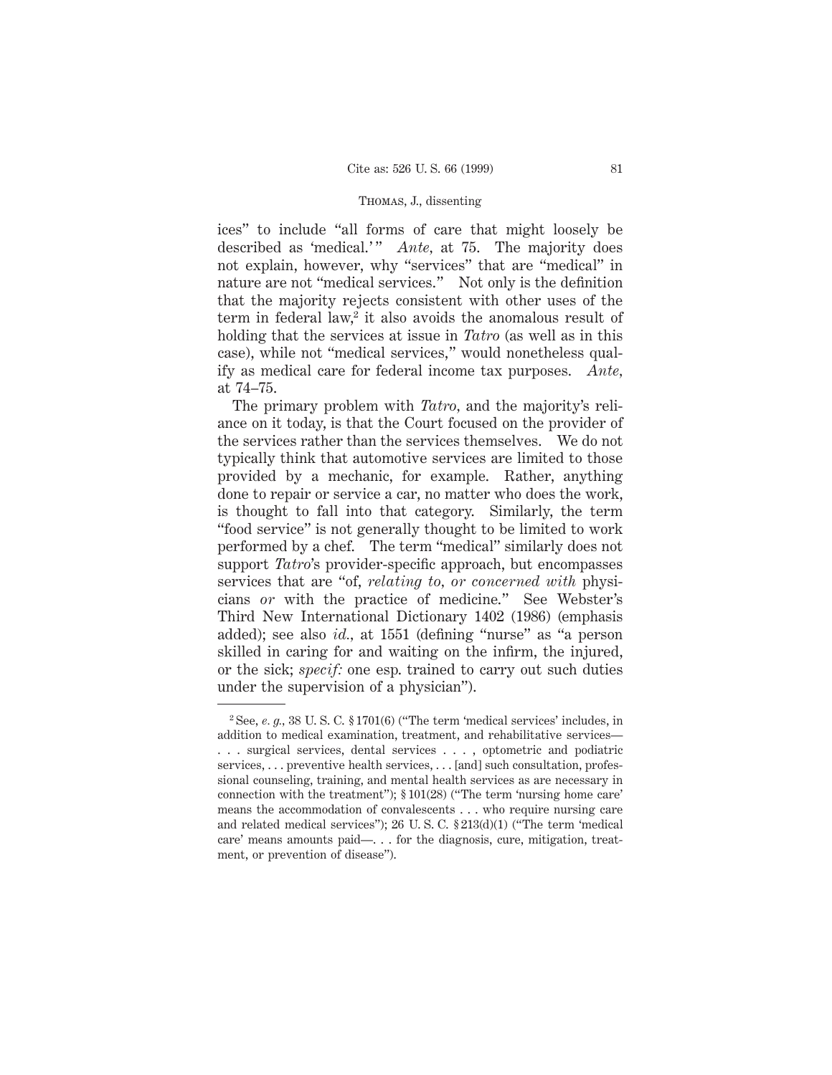ices" to include "all forms of care that might loosely be described as 'medical.'" *Ante*, at 75. The majority does not explain, however, why "services" that are "medical" in nature are not "medical services." Not only is the definition that the majority rejects consistent with other uses of the term in federal law,<sup>2</sup> it also avoids the anomalous result of holding that the services at issue in *Tatro* (as well as in this case), while not "medical services," would nonetheless qualify as medical care for federal income tax purposes. *Ante,* at 74–75.

The primary problem with *Tatro,* and the majority's reliance on it today, is that the Court focused on the provider of the services rather than the services themselves. We do not typically think that automotive services are limited to those provided by a mechanic, for example. Rather, anything done to repair or service a car, no matter who does the work, is thought to fall into that category. Similarly, the term "food service" is not generally thought to be limited to work performed by a chef. The term "medical" similarly does not support *Tatro*'s provider-specific approach, but encompasses services that are "of, *relating to, or concerned with* physicians *or* with the practice of medicine." See Webster's Third New International Dictionary 1402 (1986) (emphasis added); see also *id.,* at 1551 (defining "nurse" as "a person skilled in caring for and waiting on the infirm, the injured, or the sick; *specif:* one esp. trained to carry out such duties under the supervision of a physician").

 $2$  See, *e. g.*, 38 U.S.C.  $\S 1701(6)$  ("The term 'medical services' includes, in addition to medical examination, treatment, and rehabilitative services— . . . surgical services, dental services ..., optometric and podiatric services, ... preventive health services, ... [and] such consultation, professional counseling, training, and mental health services as are necessary in connection with the treatment");  $\S 101(28)$  ("The term 'nursing home care" means the accommodation of convalescents . . . who require nursing care and related medical services"); 26 U. S. C. § 213(d)(1) ("The term 'medical care' means amounts paid—. . . for the diagnosis, cure, mitigation, treatment, or prevention of disease").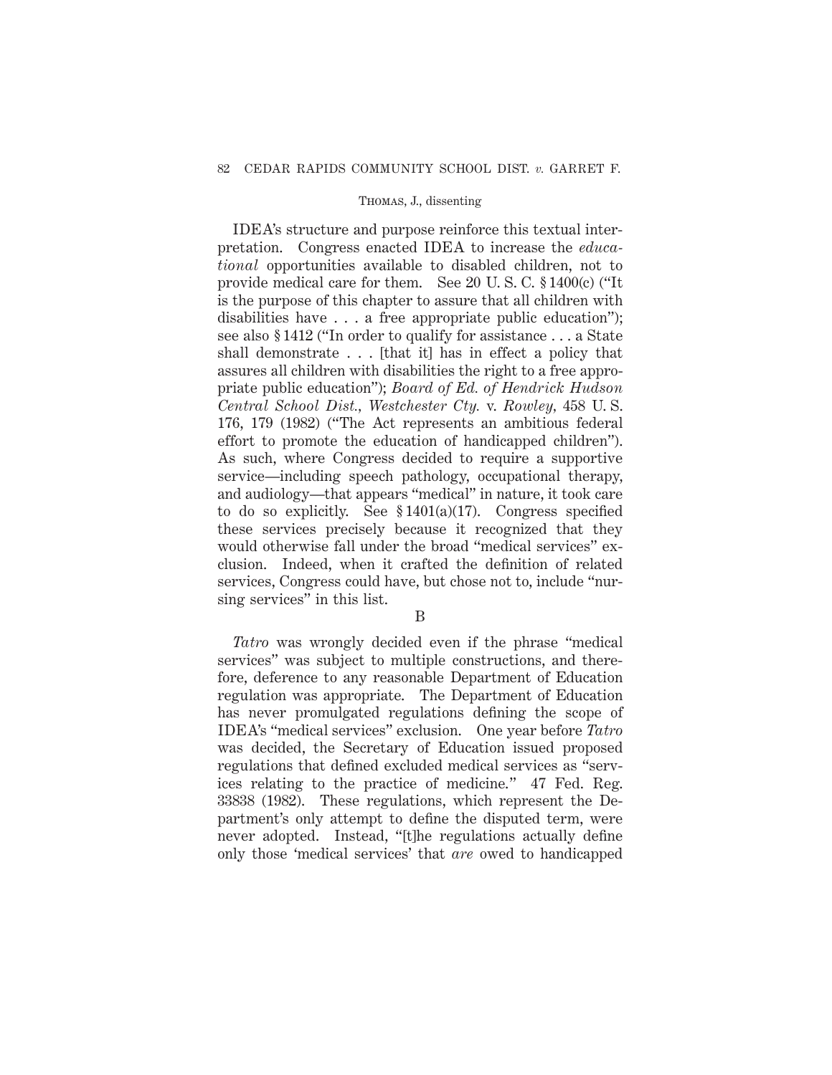IDEA's structure and purpose reinforce this textual interpretation. Congress enacted IDEA to increase the *educational* opportunities available to disabled children, not to provide medical care for them. See 20 U. S. C. § 1400(c) ("It is the purpose of this chapter to assure that all children with disabilities have . . . a free appropriate public education"); see also § 1412 ("In order to qualify for assistance . . . a State shall demonstrate . . . [that it] has in effect a policy that assures all children with disabilities the right to a free appropriate public education"); *Board of Ed. of Hendrick Hudson Central School Dist., Westchester Cty.* v. *Rowley,* 458 U. S. 176, 179 (1982) ("The Act represents an ambitious federal effort to promote the education of handicapped children"). As such, where Congress decided to require a supportive service—including speech pathology, occupational therapy, and audiology—that appears "medical" in nature, it took care to do so explicitly. See § 1401(a)(17). Congress specified these services precisely because it recognized that they would otherwise fall under the broad "medical services" exclusion. Indeed, when it crafted the definition of related services, Congress could have, but chose not to, include "nursing services" in this list.

B

*Tatro* was wrongly decided even if the phrase "medical services" was subject to multiple constructions, and therefore, deference to any reasonable Department of Education regulation was appropriate. The Department of Education has never promulgated regulations defining the scope of IDEA's "medical services" exclusion. One year before *Tatro* was decided, the Secretary of Education issued proposed regulations that defined excluded medical services as "services relating to the practice of medicine." 47 Fed. Reg. 33838 (1982). These regulations, which represent the Department's only attempt to define the disputed term, were never adopted. Instead, "[t]he regulations actually define only those 'medical services' that *are* owed to handicapped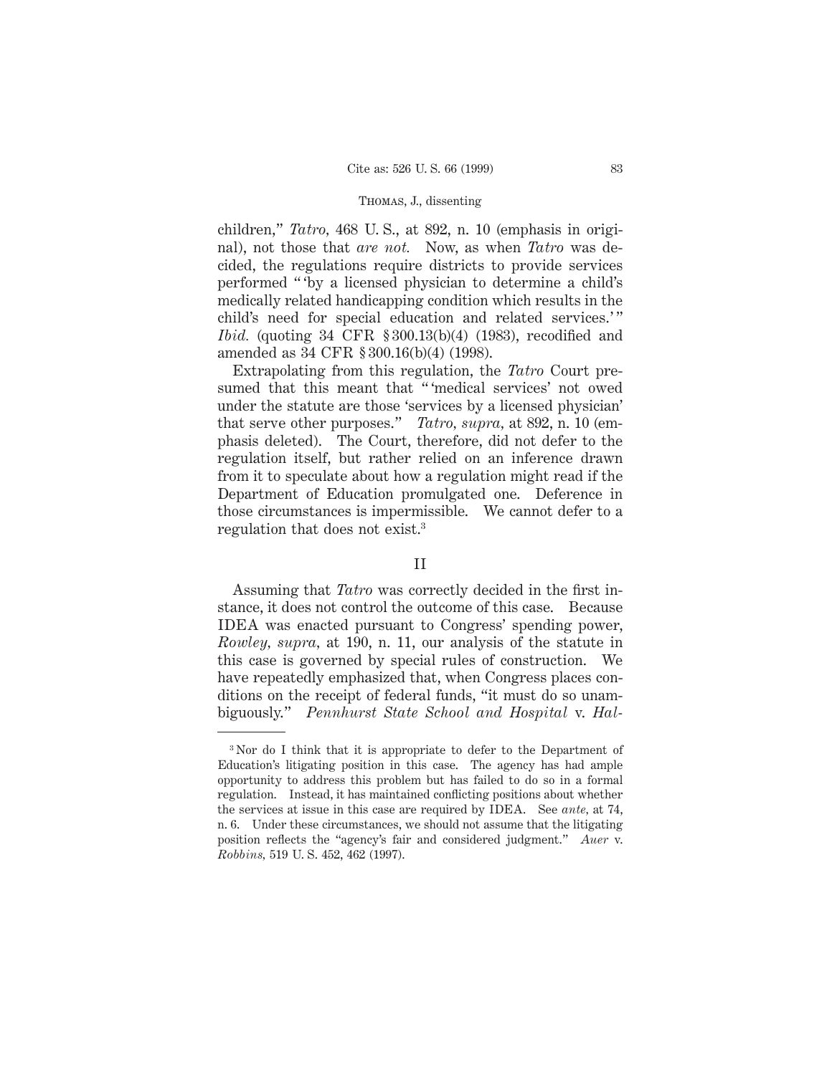children," *Tatro,* 468 U. S., at 892, n. 10 (emphasis in original), not those that *are not.* Now, as when *Tatro* was decided, the regulations require districts to provide services performed " 'by a licensed physician to determine a child's medically related handicapping condition which results in the child's need for special education and related services.'" *Ibid.* (quoting 34 CFR § 300.13(b)(4) (1983), recodified and amended as 34 CFR § 300.16(b)(4) (1998).

Extrapolating from this regulation, the *Tatro* Court presumed that this meant that "'medical services' not owed under the statute are those 'services by a licensed physician' that serve other purposes." *Tatro, supra,* at 892, n. 10 (emphasis deleted). The Court, therefore, did not defer to the regulation itself, but rather relied on an inference drawn from it to speculate about how a regulation might read if the Department of Education promulgated one. Deference in those circumstances is impermissible. We cannot defer to a regulation that does not exist.3

### II

Assuming that *Tatro* was correctly decided in the first instance, it does not control the outcome of this case. Because IDEA was enacted pursuant to Congress' spending power, *Rowley, supra,* at 190, n. 11, our analysis of the statute in this case is governed by special rules of construction. We have repeatedly emphasized that, when Congress places conditions on the receipt of federal funds, "it must do so unambiguously." *Pennhurst State School and Hospital* v. *Hal-*

<sup>3</sup> Nor do I think that it is appropriate to defer to the Department of Education's litigating position in this case. The agency has had ample opportunity to address this problem but has failed to do so in a formal regulation. Instead, it has maintained conflicting positions about whether the services at issue in this case are required by IDEA. See *ante,* at 74, n. 6. Under these circumstances, we should not assume that the litigating position reflects the "agency's fair and considered judgment." *Auer* v. *Robbins,* 519 U. S. 452, 462 (1997).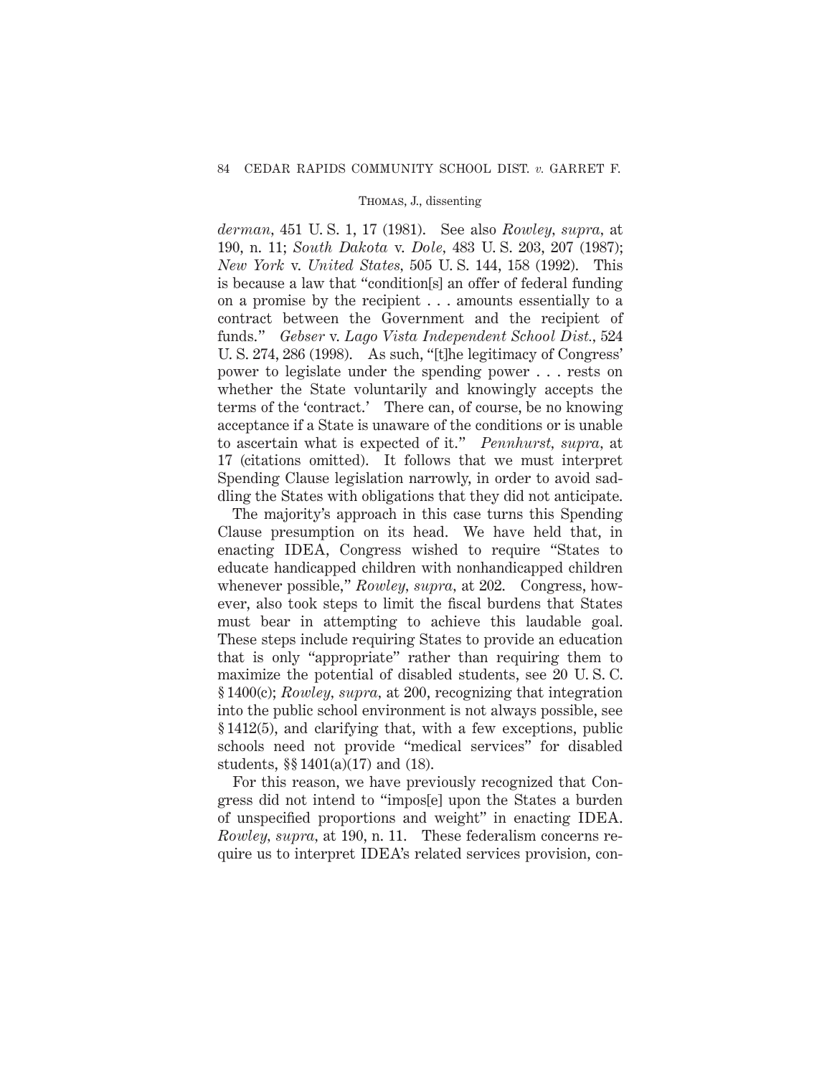*derman,* 451 U. S. 1, 17 (1981). See also *Rowley, supra,* at 190, n. 11; *South Dakota* v. *Dole,* 483 U. S. 203, 207 (1987); *New York* v. *United States,* 505 U. S. 144, 158 (1992). This is because a law that "condition[s] an offer of federal funding on a promise by the recipient . . . amounts essentially to a contract between the Government and the recipient of funds." *Gebser* v. *Lago Vista Independent School Dist.,* 524 U. S. 274, 286 (1998). As such, "[t]he legitimacy of Congress' power to legislate under the spending power . . . rests on whether the State voluntarily and knowingly accepts the terms of the 'contract.' There can, of course, be no knowing acceptance if a State is unaware of the conditions or is unable to ascertain what is expected of it." *Pennhurst, supra,* at 17 (citations omitted). It follows that we must interpret Spending Clause legislation narrowly, in order to avoid saddling the States with obligations that they did not anticipate.

The majority's approach in this case turns this Spending Clause presumption on its head. We have held that, in enacting IDEA, Congress wished to require "States to educate handicapped children with nonhandicapped children whenever possible," *Rowley, supra,* at 202. Congress, however, also took steps to limit the fiscal burdens that States must bear in attempting to achieve this laudable goal. These steps include requiring States to provide an education that is only "appropriate" rather than requiring them to maximize the potential of disabled students, see 20 U. S. C. § 1400(c); *Rowley, supra,* at 200, recognizing that integration into the public school environment is not always possible, see § 1412(5), and clarifying that, with a few exceptions, public schools need not provide "medical services" for disabled students, §§ 1401(a)(17) and (18).

For this reason, we have previously recognized that Congress did not intend to "impos[e] upon the States a burden of unspecified proportions and weight" in enacting IDEA. *Rowley, supra,* at 190, n. 11. These federalism concerns require us to interpret IDEA's related services provision, con-